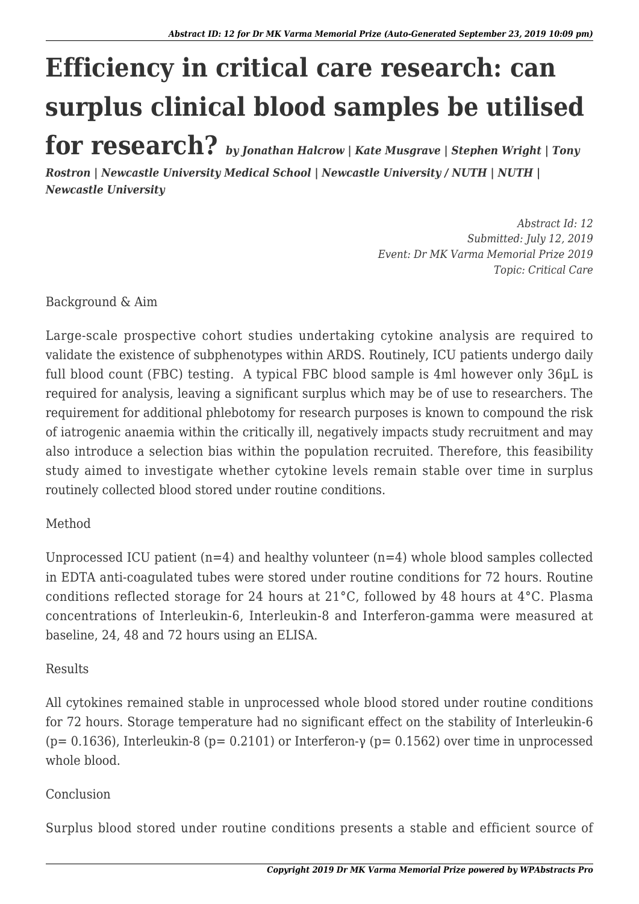## **Efficiency in critical care research: can surplus clinical blood samples be utilised for research?** *by Jonathan Halcrow | Kate Musgrave | Stephen Wright | Tony*

*Rostron | Newcastle University Medical School | Newcastle University / NUTH | NUTH | Newcastle University*

> *Abstract Id: 12 Submitted: July 12, 2019 Event: Dr MK Varma Memorial Prize 2019 Topic: Critical Care*

Background & Aim

Large-scale prospective cohort studies undertaking cytokine analysis are required to validate the existence of subphenotypes within ARDS. Routinely, ICU patients undergo daily full blood count (FBC) testing. A typical FBC blood sample is 4ml however only 36µL is required for analysis, leaving a significant surplus which may be of use to researchers. The requirement for additional phlebotomy for research purposes is known to compound the risk of iatrogenic anaemia within the critically ill, negatively impacts study recruitment and may also introduce a selection bias within the population recruited. Therefore, this feasibility study aimed to investigate whether cytokine levels remain stable over time in surplus routinely collected blood stored under routine conditions.

## Method

Unprocessed ICU patient  $(n=4)$  and healthy volunteer  $(n=4)$  whole blood samples collected in EDTA anti-coagulated tubes were stored under routine conditions for 72 hours. Routine conditions reflected storage for 24 hours at 21°C, followed by 48 hours at 4°C. Plasma concentrations of Interleukin-6, Interleukin-8 and Interferon-gamma were measured at baseline, 24, 48 and 72 hours using an ELISA.

## Results

All cytokines remained stable in unprocessed whole blood stored under routine conditions for 72 hours. Storage temperature had no significant effect on the stability of Interleukin-6 (p= 0.1636), Interleukin-8 (p= 0.2101) or Interferon-γ (p= 0.1562) over time in unprocessed whole blood.

## Conclusion

Surplus blood stored under routine conditions presents a stable and efficient source of